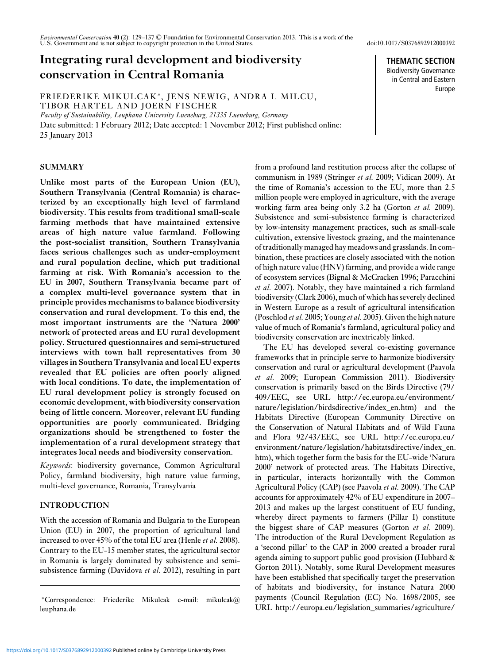*Environmental Conservation* **40** (2): 129–137 © Foundation for Environmental Conservation 2013. This is a work of the U.S. Government and is not subject to copyright protection in the United States. doi:10.1017/S0376892912000392

# **Integrating rural development and biodiversity conservation in Central Romania**

FRIEDERIKE MIKULCAK∗, JENS NEWIG, ANDRA I. MILCU, TIBOR HARTEL AND JOERN FISCHER

*Faculty of Sustainability, Leuphana University Lueneburg, 21335 Lueneburg, Germany*

Date submitted: 1 February 2012; Date accepted: 1 November 2012; First published online: 25 January 2013

# **SUMMARY**

**Unlike most parts of the European Union (EU), Southern Transylvania (Central Romania) is characterized by an exceptionally high level of farmland biodiversity. This results from traditional small-scale farming methods that have maintained extensive areas of high nature value farmland. Following the post-socialist transition, Southern Transylvania faces serious challenges such as under-employment and rural population decline, which put traditional farming at risk. With Romania's accession to the EU in 2007, Southern Transylvania became part of a complex multi-level governance system that in principle provides mechanisms to balance biodiversity conservation and rural development. To this end, the most important instruments are the 'Natura 2000' network of protected areas and EU rural development policy. Structured questionnaires and semi-structured interviews with town hall representatives from 30 villages in Southern Transylvania and local EU experts revealed that EU policies are often poorly aligned with local conditions. To date, the implementation of EU rural development policy is strongly focused on economic development, with biodiversity conservation being of little concern. Moreover, relevant EU funding opportunities are poorly communicated. Bridging organizations should be strengthened to foster the implementation of a rural development strategy that integrates local needs and biodiversity conservation.**

*Keywords*: biodiversity governance, Common Agricultural Policy, farmland biodiversity, high nature value farming, multi-level governance, Romania, Transylvania

# **INTRODUCTION**

With the accession of Romania and Bulgaria to the European Union (EU) in 2007, the proportion of agricultural land increased to over 45% of the total EU area (Henle *et al.* 2008). Contrary to the EU-15 member states, the agricultural sector in Romania is largely dominated by subsistence and semisubsistence farming (Davidova *et al.* 2012), resulting in part

<sup>∗</sup>Correspondence: Friederike Mikulcak e-mail: mikulcak@ leuphana.de

from a profound land restitution process after the collapse of communism in 1989 (Stringer *et al.* 2009; Vidican 2009). At the time of Romania's accession to the EU, more than 2.5 million people were employed in agriculture, with the average working farm area being only 3.2 ha (Gorton *et al.* 2009). Subsistence and semi-subsistence farming is characterized by low-intensity management practices, such as small-scale cultivation, extensive livestock grazing, and the maintenance of traditionally managed hay meadows and grasslands. In combination, these practices are closely associated with the notion of high nature value (HNV) farming, and provide a wide range of ecosystem services (Bignal & McCracken 1996; Paracchini *et al.* 2007). Notably, they have maintained a rich farmland biodiversity (Clark 2006), much of which has severely declined in Western Europe as a result of agricultural intensification (Poschlod *et al.* 2005; Young *et al.* 2005). Given the high nature value of much of Romania's farmland, agricultural policy and biodiversity conservation are inextricably linked.

The EU has developed several co-existing governance frameworks that in principle serve to harmonize biodiversity conservation and rural or agricultural development (Paavola *et al.* 2009; European Commission 2011). Biodiversity conservation is primarily based on the Birds Directive (79/ 409/EEC, see URL http://ec.europa.eu/environment/ nature/legislation/birdsdirective/index\_en.htm) and the Habitats Directive (European Community Directive on the Conservation of Natural Habitats and of Wild Fauna and Flora 92/43/EEC, see URL http://ec.europa.eu/ environment/nature/legislation/habitatsdirective/index\_en. htm), which together form the basis for the EU-wide 'Natura 2000' network of protected areas. The Habitats Directive, in particular, interacts horizontally with the Common Agricultural Policy (CAP) (see Paavola *et al.* 2009). The CAP accounts for approximately 42% of EU expenditure in 2007– 2013 and makes up the largest constituent of EU funding, whereby direct payments to farmers (Pillar I) constitute the biggest share of CAP measures (Gorton *et al.* 2009). The introduction of the Rural Development Regulation as a 'second pillar' to the CAP in 2000 created a broader rural agenda aiming to support public good provision (Hubbard & Gorton 2011). Notably, some Rural Development measures have been established that specifically target the preservation of habitats and biodiversity, for instance Natura 2000 payments (Council Regulation (EC) No. 1698/2005, see URL http://europa.eu/legislation\_summaries/agriculture/

**THEMATIC SECTION** Biodiversity Governance in Central and Eastern Europe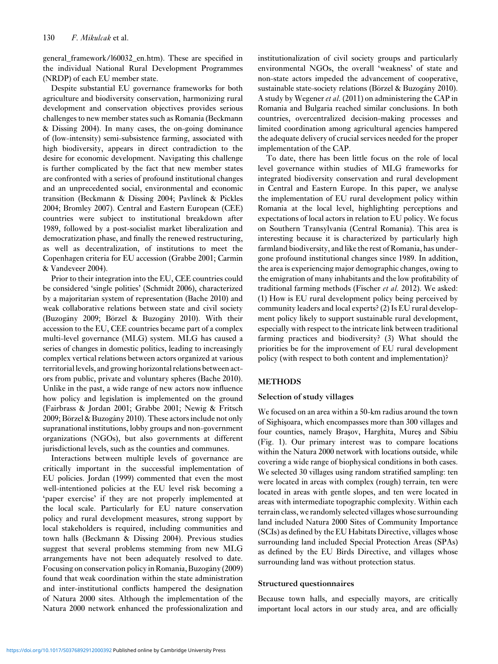general\_framework/l60032\_en.htm). These are specified in the individual National Rural Development Programmes (NRDP) of each EU member state.

Despite substantial EU governance frameworks for both agriculture and biodiversity conservation, harmonizing rural development and conservation objectives provides serious challenges to new member states such as Romania (Beckmann & Dissing 2004). In many cases, the on-going dominance of (low-intensity) semi-subsistence farming, associated with high biodiversity, appears in direct contradiction to the desire for economic development. Navigating this challenge is further complicated by the fact that new member states are confronted with a series of profound institutional changes and an unprecedented social, environmental and economic transition (Beckmann & Dissing 2004; Pavlínek & Pickles 2004; Bromley 2007). Central and Eastern European (CEE) countries were subject to institutional breakdown after 1989, followed by a post-socialist market liberalization and democratization phase, and finally the renewed restructuring, as well as decentralization, of institutions to meet the Copenhagen criteria for EU accession (Grabbe 2001; Carmin & Vandeveer 2004).

Prior to their integration into the EU, CEE countries could be considered 'single polities' (Schmidt 2006), characterized by a majoritarian system of representation (Bache 2010) and weak collaborative relations between state and civil society (Buzogány 2009; Börzel & Buzogány 2010). With their accession to the EU, CEE countries became part of a complex multi-level governance (MLG) system. MLG has caused a series of changes in domestic politics, leading to increasingly complex vertical relations between actors organized at various territorial levels, and growing horizontal relations between actors from public, private and voluntary spheres (Bache 2010). Unlike in the past, a wide range of new actors now influence how policy and legislation is implemented on the ground (Fairbrass & Jordan 2001; Grabbe 2001; Newig & Fritsch 2009; Börzel & Buzogány 2010). These actors include not only supranational institutions, lobby groups and non-government organizations (NGOs), but also governments at different jurisdictional levels, such as the counties and communes.

Interactions between multiple levels of governance are critically important in the successful implementation of EU policies. Jordan (1999) commented that even the most well-intentioned policies at the EU level risk becoming a 'paper exercise' if they are not properly implemented at the local scale. Particularly for EU nature conservation policy and rural development measures, strong support by local stakeholders is required, including communities and town halls (Beckmann & Dissing 2004). Previous studies suggest that several problems stemming from new MLG arrangements have not been adequately resolved to date. Focusing on conservation policy in Romania, Buzogány (2009) found that weak coordination within the state administration and inter-institutional conflicts hampered the designation of Natura 2000 sites. Although the implementation of the Natura 2000 network enhanced the professionalization and institutionalization of civil society groups and particularly environmental NGOs, the overall 'weakness' of state and non-state actors impeded the advancement of cooperative, sustainable state-society relations (Börzel & Buzogány 2010). A study by Wegener *et al.* (2011) on administering the CAP in Romania and Bulgaria reached similar conclusions. In both countries, overcentralized decision-making processes and limited coordination among agricultural agencies hampered the adequate delivery of crucial services needed for the proper implementation of the CAP.

To date, there has been little focus on the role of local level governance within studies of MLG frameworks for integrated biodiversity conservation and rural development in Central and Eastern Europe. In this paper, we analyse the implementation of EU rural development policy within Romania at the local level, highlighting perceptions and expectations of local actors in relation to EU policy. We focus on Southern Transylvania (Central Romania). This area is interesting because it is characterized by particularly high farmland biodiversity, and like the rest of Romania, has undergone profound institutional changes since 1989. In addition, the area is experiencing major demographic changes, owing to the emigration of many inhabitants and the low profitability of traditional farming methods (Fischer *et al.* 2012). We asked: (1) How is EU rural development policy being perceived by community leaders and local experts? (2) Is EU rural development policy likely to support sustainable rural development, especially with respect to the intricate link between traditional farming practices and biodiversity? (3) What should the priorities be for the improvement of EU rural development policy (with respect to both content and implementation)?

# **METHODS**

## **Selection of study villages**

We focused on an area within a 50-km radius around the town of Sighisoara, which encompasses more than 300 villages and ¸ four counties, namely Braşov, Harghita, Mureș and Sibiu (Fig. 1). Our primary interest was to compare locations within the Natura 2000 network with locations outside, while covering a wide range of biophysical conditions in both cases. We selected 30 villages using random stratified sampling: ten were located in areas with complex (rough) terrain, ten were located in areas with gentle slopes, and ten were located in areas with intermediate topographic complexity. Within each terrain class, we randomly selected villages whose surrounding land included Natura 2000 Sites of Community Importance (SCIs) as defined by the EU Habitats Directive, villages whose surrounding land included Special Protection Areas (SPAs) as defined by the EU Birds Directive, and villages whose surrounding land was without protection status.

#### **Structured questionnaires**

Because town halls, and especially mayors, are critically important local actors in our study area, and are officially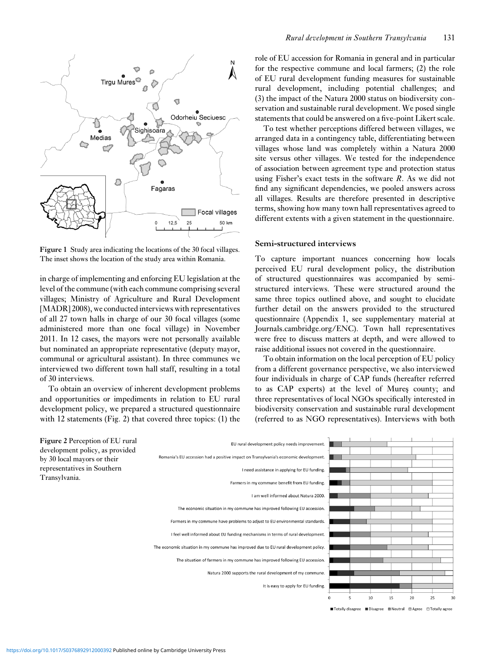

**Figure 1** Study area indicating the locations of the 30 focal villages. The inset shows the location of the study area within Romania.

in charge of implementing and enforcing EU legislation at the level of the commune (with each commune comprising several villages; Ministry of Agriculture and Rural Development [MADR] 2008), we conducted interviews with representatives of all 27 town halls in charge of our 30 focal villages (some administered more than one focal village) in November 2011. In 12 cases, the mayors were not personally available but nominated an appropriate representative (deputy mayor, communal or agricultural assistant). In three communes we interviewed two different town hall staff, resulting in a total of 30 interviews.

To obtain an overview of inherent development problems and opportunities or impediments in relation to EU rural development policy, we prepared a structured questionnaire with 12 statements (Fig. 2) that covered three topics: (1) the

role of EU accession for Romania in general and in particular for the respective commune and local farmers; (2) the role of EU rural development funding measures for sustainable rural development, including potential challenges; and (3) the impact of the Natura 2000 status on biodiversity conservation and sustainable rural development. We posed single statements that could be answered on a five-point Likert scale.

To test whether perceptions differed between villages, we arranged data in a contingency table, differentiating between villages whose land was completely within a Natura 2000 site versus other villages. We tested for the independence of association between agreement type and protection status using Fisher's exact tests in the software *R*. As we did not find any significant dependencies, we pooled answers across all villages. Results are therefore presented in descriptive terms, showing how many town hall representatives agreed to different extents with a given statement in the questionnaire.

## **Semi-structured interviews**

To capture important nuances concerning how locals perceived EU rural development policy, the distribution of structured questionnaires was accompanied by semistructured interviews. These were structured around the same three topics outlined above, and sought to elucidate further detail on the answers provided to the structured questionnaire (Appendix 1, see supplementary material at Journals.cambridge.org/ENC). Town hall representatives were free to discuss matters at depth, and were allowed to raise additional issues not covered in the questionnaire.

To obtain information on the local perception of EU policy from a different governance perspective, we also interviewed four individuals in charge of CAP funds (hereafter referred to as CAP experts) at the level of Mures county; and three representatives of local NGOs specifically interested in biodiversity conservation and sustainable rural development (referred to as NGO representatives). Interviews with both



■ Totally disagree ■ Disagree ■ Neutral ■ Agree □ Totally agree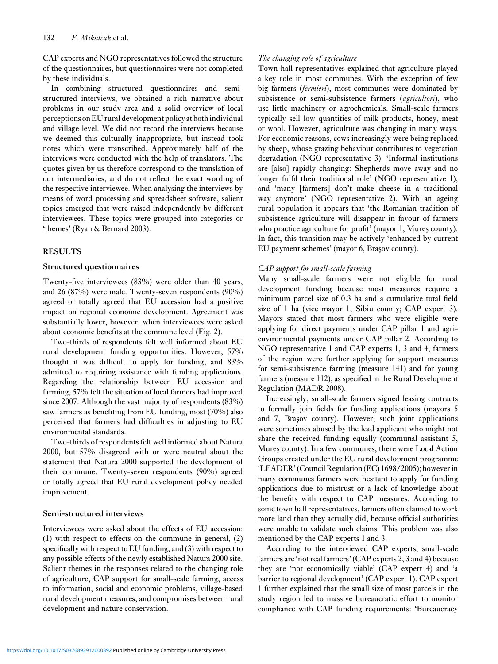CAP experts and NGO representatives followed the structure of the questionnaires, but questionnaires were not completed by these individuals.

In combining structured questionnaires and semistructured interviews, we obtained a rich narrative about problems in our study area and a solid overview of local perceptions on EU rural development policy at both individual and village level. We did not record the interviews because we deemed this culturally inappropriate, but instead took notes which were transcribed. Approximately half of the interviews were conducted with the help of translators. The quotes given by us therefore correspond to the translation of our intermediaries, and do not reflect the exact wording of the respective interviewee. When analysing the interviews by means of word processing and spreadsheet software, salient topics emerged that were raised independently by different interviewees. These topics were grouped into categories or 'themes' (Ryan & Bernard 2003).

# **RESULTS**

# **Structured questionnaires**

Twenty-five interviewees (83%) were older than 40 years, and 26 (87%) were male. Twenty-seven respondents (90%) agreed or totally agreed that EU accession had a positive impact on regional economic development. Agreement was substantially lower, however, when interviewees were asked about economic benefits at the commune level (Fig. 2).

Two-thirds of respondents felt well informed about EU rural development funding opportunities. However, 57% thought it was difficult to apply for funding, and 83% admitted to requiring assistance with funding applications. Regarding the relationship between EU accession and farming, 57% felt the situation of local farmers had improved since 2007. Although the vast majority of respondents (83%) saw farmers as benefiting from EU funding, most (70%) also perceived that farmers had difficulties in adjusting to EU environmental standards.

Two-thirds of respondents felt well informed about Natura 2000, but 57% disagreed with or were neutral about the statement that Natura 2000 supported the development of their commune. Twenty-seven respondents (90%) agreed or totally agreed that EU rural development policy needed improvement.

# **Semi-structured interviews**

Interviewees were asked about the effects of EU accession: (1) with respect to effects on the commune in general, (2) specifically with respect to EU funding, and (3) with respect to any possible effects of the newly established Natura 2000 site. Salient themes in the responses related to the changing role of agriculture, CAP support for small-scale farming, access to information, social and economic problems, village-based rural development measures, and compromises between rural development and nature conservation.

# *The changing role of agriculture*

Town hall representatives explained that agriculture played a key role in most communes. With the exception of few big farmers (*fermieri*), most communes were dominated by subsistence or semi-subsistence farmers (*agricultori*), who use little machinery or agrochemicals. Small-scale farmers typically sell low quantities of milk products, honey, meat or wool. However, agriculture was changing in many ways. For economic reasons, cows increasingly were being replaced by sheep, whose grazing behaviour contributes to vegetation degradation (NGO representative 3). 'Informal institutions are [also] rapidly changing: Shepherds move away and no longer fulfil their traditional role' (NGO representative 1); and 'many [farmers] don't make cheese in a traditional way anymore' (NGO representative 2). With an ageing rural population it appears that 'the Romanian tradition of subsistence agriculture will disappear in favour of farmers who practice agriculture for profit' (mayor 1, Mures county). In fact, this transition may be actively 'enhanced by current EU payment schemes' (mayor 6, Brașov county).

# *CAP support for small-scale farming*

Many small-scale farmers were not eligible for rural development funding because most measures require a minimum parcel size of 0.3 ha and a cumulative total field size of 1 ha (vice mayor 1, Sibiu county; CAP expert 3). Mayors stated that most farmers who were eligible were applying for direct payments under CAP pillar 1 and agrienvironmental payments under CAP pillar 2. According to NGO representative 1 and CAP experts 1, 3 and 4, farmers of the region were further applying for support measures for semi-subsistence farming (measure 141) and for young farmers (measure 112), as specified in the Rural Development Regulation (MADR 2008).

Increasingly, small-scale farmers signed leasing contracts to formally join fields for funding applications (mayors 5 and 7, Brașov county). However, such joint applications were sometimes abused by the lead applicant who might not share the received funding equally (communal assistant 5, Mures county). In a few communes, there were Local Action Groups created under the EU rural development programme 'LEADER' (Council Regulation (EC) 1698/2005); however in many communes farmers were hesitant to apply for funding applications due to mistrust or a lack of knowledge about the benefits with respect to CAP measures. According to some town hall representatives, farmers often claimed to work more land than they actually did, because official authorities were unable to validate such claims. This problem was also mentioned by the CAP experts 1 and 3.

According to the interviewed CAP experts, small-scale farmers are 'not real farmers' (CAP experts 2, 3 and 4) because they are 'not economically viable' (CAP expert 4) and 'a barrier to regional development' (CAP expert 1). CAP expert 1 further explained that the small size of most parcels in the study region led to massive bureaucratic effort to monitor compliance with CAP funding requirements: 'Bureaucracy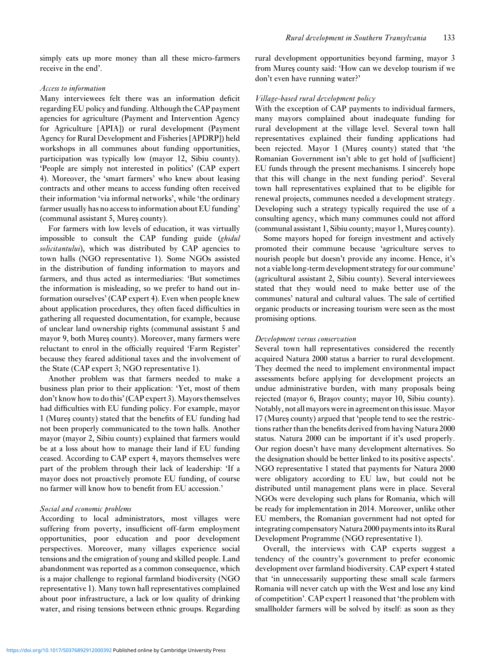simply eats up more money than all these micro-farmers receive in the end'.

## *Access to information*

Many interviewees felt there was an information deficit regarding EU policy and funding. Although the CAP payment agencies for agriculture (Payment and Intervention Agency for Agriculture [APIA]) or rural development (Payment Agency for Rural Development and Fisheries [APDRP]) held workshops in all communes about funding opportunities, participation was typically low (mayor 12, Sibiu county). 'People are simply not interested in politics' (CAP expert 4). Moreover, the 'smart farmers' who knew about leasing contracts and other means to access funding often received their information 'via informal networks', while 'the ordinary farmer usually has no access to information about EU funding' (communal assistant 5, Mures county).

For farmers with low levels of education, it was virtually impossible to consult the CAP funding guide (*ghidul solicitantului*), which was distributed by CAP agencies to town halls (NGO representative 1). Some NGOs assisted in the distribution of funding information to mayors and farmers, and thus acted as intermediaries: 'But sometimes the information is misleading, so we prefer to hand out information ourselves' (CAP expert 4). Even when people knew about application procedures, they often faced difficulties in gathering all requested documentation, for example, because of unclear land ownership rights (communal assistant 5 and mayor 9, both Mures county). Moreover, many farmers were reluctant to enrol in the officially required 'Farm Register' because they feared additional taxes and the involvement of the State (CAP expert 3; NGO representative 1).

Another problem was that farmers needed to make a business plan prior to their application: 'Yet, most of them don't know how to do this' (CAP expert 3). Mayors themselves had difficulties with EU funding policy. For example, mayor 1 (Mures county) stated that the benefits of EU funding had ¸ not been properly communicated to the town halls. Another mayor (mayor 2, Sibiu county) explained that farmers would be at a loss about how to manage their land if EU funding ceased. According to CAP expert 4, mayors themselves were part of the problem through their lack of leadership: 'If a mayor does not proactively promote EU funding, of course no farmer will know how to benefit from EU accession.'

## *Social and economic problems*

According to local administrators, most villages were suffering from poverty, insufficient off-farm employment opportunities, poor education and poor development perspectives. Moreover, many villages experience social tensions and the emigration of young and skilled people. Land abandonment was reported as a common consequence, which is a major challenge to regional farmland biodiversity (NGO representative 1). Many town hall representatives complained about poor infrastructure, a lack or low quality of drinking water, and rising tensions between ethnic groups. Regarding rural development opportunities beyond farming, mayor 3 from Mures county said: 'How can we develop tourism if we don't even have running water?'

#### *Village-based rural development policy*

With the exception of CAP payments to individual farmers, many mayors complained about inadequate funding for rural development at the village level. Several town hall representatives explained their funding applications had been rejected. Mayor 1 (Mures county) stated that 'the Romanian Government isn't able to get hold of [sufficient] EU funds through the present mechanisms. I sincerely hope that this will change in the next funding period'. Several town hall representatives explained that to be eligible for renewal projects, communes needed a development strategy. Developing such a strategy typically required the use of a consulting agency, which many communes could not afford (communal assistant 1, Sibiu county; mayor 1, Mures county).

Some mayors hoped for foreign investment and actively promoted their commune because 'agriculture serves to nourish people but doesn't provide any income. Hence, it's not a viable long-term development strategy for our commune' (agricultural assistant 2, Sibiu county). Several interviewees stated that they would need to make better use of the communes' natural and cultural values. The sale of certified organic products or increasing tourism were seen as the most promising options.

#### *Development versus conservation*

Several town hall representatives considered the recently acquired Natura 2000 status a barrier to rural development. They deemed the need to implement environmental impact assessments before applying for development projects an undue administrative burden, with many proposals being rejected (mayor 6, Brașov county; mayor 10, Sibiu county). Notably, not all mayors were in agreement on this issue. Mayor 17 (Mures county) argued that 'people tend to see the restrictions rather than the benefits derived from having Natura 2000 status. Natura 2000 can be important if it's used properly. Our region doesn't have many development alternatives. So the designation should be better linked to its positive aspects'. NGO representative 1 stated that payments for Natura 2000 were obligatory according to EU law, but could not be distributed until management plans were in place. Several NGOs were developing such plans for Romania, which will be ready for implementation in 2014. Moreover, unlike other EU members, the Romanian government had not opted for integrating compensatory Natura 2000 payments into its Rural Development Programme (NGO representative 1).

Overall, the interviews with CAP experts suggest a tendency of the country's government to prefer economic development over farmland biodiversity. CAP expert 4 stated that 'in unnecessarily supporting these small scale farmers Romania will never catch up with the West and lose any kind of competition'. CAP expert 1 reasoned that 'the problem with smallholder farmers will be solved by itself: as soon as they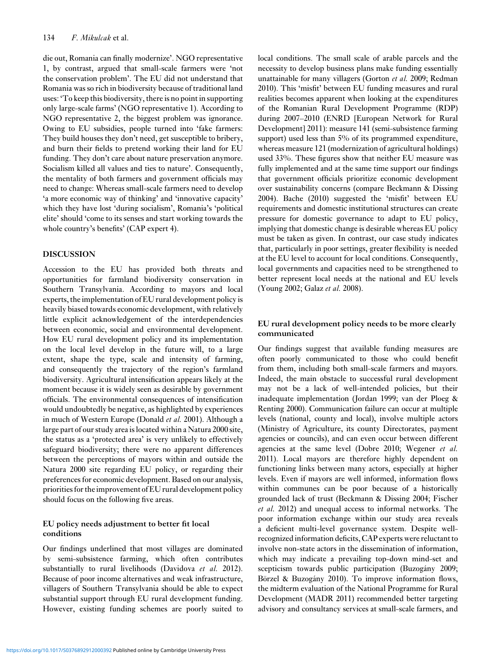die out, Romania can finally modernize'. NGO representative 1, by contrast, argued that small-scale farmers were 'not the conservation problem'. The EU did not understand that Romania was so rich in biodiversity because of traditional land uses: 'To keep this biodiversity, there is no point in supporting only large-scale farms' (NGO representative 1). According to NGO representative 2, the biggest problem was ignorance. Owing to EU subsidies, people turned into 'fake farmers: They build houses they don't need, get susceptible to bribery, and burn their fields to pretend working their land for EU funding. They don't care about nature preservation anymore. Socialism killed all values and ties to nature'. Consequently, the mentality of both farmers and government officials may need to change: Whereas small-scale farmers need to develop 'a more economic way of thinking' and 'innovative capacity' which they have lost 'during socialism', Romania's 'political elite' should 'come to its senses and start working towards the whole country's benefits' (CAP expert 4).

#### **DISCUSSION**

Accession to the EU has provided both threats and opportunities for farmland biodiversity conservation in Southern Transylvania. According to mayors and local experts, the implementation of EU rural development policy is heavily biased towards economic development, with relatively little explicit acknowledgement of the interdependencies between economic, social and environmental development. How EU rural development policy and its implementation on the local level develop in the future will, to a large extent, shape the type, scale and intensity of farming, and consequently the trajectory of the region's farmland biodiversity. Agricultural intensification appears likely at the moment because it is widely seen as desirable by government officials. The environmental consequences of intensification would undoubtedly be negative, as highlighted by experiences in much of Western Europe (Donald *et al.* 2001). Although a large part of our study area is located within a Natura 2000 site, the status as a 'protected area' is very unlikely to effectively safeguard biodiversity; there were no apparent differences between the perceptions of mayors within and outside the Natura 2000 site regarding EU policy, or regarding their preferences for economic development. Based on our analysis, priorities for the improvement of EU rural development policy should focus on the following five areas.

# **EU policy needs adjustment to better fit local conditions**

Our findings underlined that most villages are dominated by semi-subsistence farming, which often contributes substantially to rural livelihoods (Davidova *et al.* 2012). Because of poor income alternatives and weak infrastructure, villagers of Southern Transylvania should be able to expect substantial support through EU rural development funding. However, existing funding schemes are poorly suited to local conditions. The small scale of arable parcels and the necessity to develop business plans make funding essentially unattainable for many villagers (Gorton *et al.* 2009; Redman 2010). This 'misfit' between EU funding measures and rural realities becomes apparent when looking at the expenditures of the Romanian Rural Development Programme (RDP) during 2007–2010 (ENRD [European Network for Rural Development] 2011): measure 141 (semi-subsistence farming support) used less than 5% of its programmed expenditure, whereas measure 121 (modernization of agricultural holdings) used 33%. These figures show that neither EU measure was fully implemented and at the same time support our findings that government officials prioritize economic development over sustainability concerns (compare Beckmann & Dissing 2004). Bache (2010) suggested the 'misfit' between EU requirements and domestic institutional structures can create pressure for domestic governance to adapt to EU policy, implying that domestic change is desirable whereas EU policy must be taken as given. In contrast, our case study indicates that, particularly in poor settings, greater flexibility is needed at the EU level to account for local conditions. Consequently, local governments and capacities need to be strengthened to better represent local needs at the national and EU levels (Young 2002; Galaz *et al.* 2008).

# **EU rural development policy needs to be more clearly communicated**

Our findings suggest that available funding measures are often poorly communicated to those who could benefit from them, including both small-scale farmers and mayors. Indeed, the main obstacle to successful rural development may not be a lack of well-intended policies, but their inadequate implementation (Jordan 1999; van der Ploeg & Renting 2000). Communication failure can occur at multiple levels (national, county and local), involve multiple actors (Ministry of Agriculture, its county Directorates, payment agencies or councils), and can even occur between different agencies at the same level (Dobre 2010; Wegener *et al.* 2011). Local mayors are therefore highly dependent on functioning links between many actors, especially at higher levels. Even if mayors are well informed, information flows within communes can be poor because of a historically grounded lack of trust (Beckmann & Dissing 2004; Fischer *et al.* 2012) and unequal access to informal networks. The poor information exchange within our study area reveals a deficient multi-level governance system. Despite wellrecognized information deficits, CAP experts were reluctant to involve non-state actors in the dissemination of information, which may indicate a prevailing top-down mind-set and scepticism towards public participation (Buzogány 2009; Börzel & Buzogány 2010). To improve information flows, the midterm evaluation of the National Programme for Rural Development (MADR 2011) recommended better targeting advisory and consultancy services at small-scale farmers, and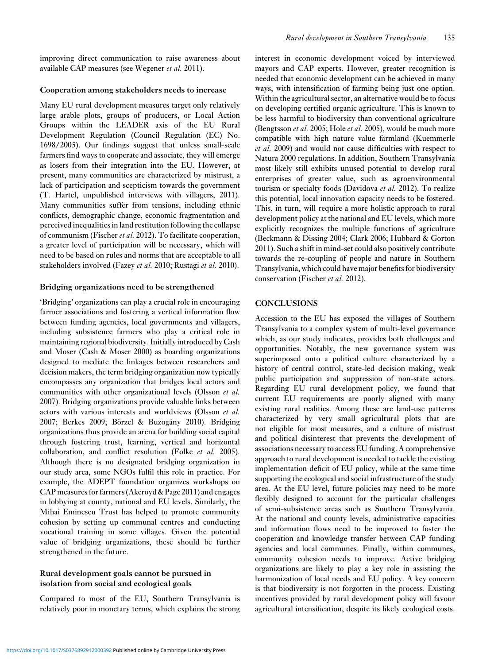improving direct communication to raise awareness about available CAP measures (see Wegener *et al.* 2011).

#### **Cooperation among stakeholders needs to increase**

Many EU rural development measures target only relatively large arable plots, groups of producers, or Local Action Groups within the LEADER axis of the EU Rural Development Regulation (Council Regulation (EC) No. 1698/2005). Our findings suggest that unless small-scale farmers find ways to cooperate and associate, they will emerge as losers from their integration into the EU. However, at present, many communities are characterized by mistrust, a lack of participation and scepticism towards the government (T. Hartel, unpublished interviews with villagers, 2011). Many communities suffer from tensions, including ethnic conflicts, demographic change, economic fragmentation and perceived inequalities in land restitution following the collapse of communism (Fischer *et al.* 2012). To facilitate cooperation, a greater level of participation will be necessary, which will need to be based on rules and norms that are acceptable to all stakeholders involved (Fazey *et al.* 2010; Rustagi *et al.* 2010).

#### **Bridging organizations need to be strengthened**

'Bridging' organizations can play a crucial role in encouraging farmer associations and fostering a vertical information flow between funding agencies, local governments and villagers, including subsistence farmers who play a critical role in maintaining regional biodiversity. Initially introduced by Cash and Moser (Cash & Moser 2000) as boarding organizations designed to mediate the linkages between researchers and decision makers, the term bridging organization now typically encompasses any organization that bridges local actors and communities with other organizational levels (Olsson *et al.* 2007). Bridging organizations provide valuable links between actors with various interests and worldviews (Olsson *et al.* 2007; Berkes 2009; Börzel & Buzogány 2010). Bridging organizations thus provide an arena for building social capital through fostering trust, learning, vertical and horizontal collaboration, and conflict resolution (Folke *et al.* 2005). Although there is no designated bridging organization in our study area, some NGOs fulfil this role in practice. For example, the ADEPT foundation organizes workshops on CAP measures for farmers (Akeroyd & Page 2011) and engages in lobbying at county, national and EU levels. Similarly, the Mihai Eminescu Trust has helped to promote community cohesion by setting up communal centres and conducting vocational training in some villages. Given the potential value of bridging organizations, these should be further strengthened in the future.

# **Rural development goals cannot be pursued in isolation from social and ecological goals**

Compared to most of the EU, Southern Transylvania is relatively poor in monetary terms, which explains the strong interest in economic development voiced by interviewed mayors and CAP experts. However, greater recognition is needed that economic development can be achieved in many ways, with intensification of farming being just one option. Within the agricultural sector, an alternative would be to focus on developing certified organic agriculture. This is known to be less harmful to biodiversity than conventional agriculture (Bengtsson *et al.* 2005; Hole *et al.* 2005), would be much more compatible with high nature value farmland (Kuemmerle *et al.* 2009) and would not cause difficulties with respect to Natura 2000 regulations. In addition, Southern Transylvania most likely still exhibits unused potential to develop rural enterprises of greater value, such as agroenvironmental tourism or specialty foods (Davidova *et al.* 2012). To realize this potential, local innovation capacity needs to be fostered. This, in turn, will require a more holistic approach to rural development policy at the national and EU levels, which more explicitly recognizes the multiple functions of agriculture (Beckmann & Dissing 2004; Clark 2006; Hubbard & Gorton 2011). Such a shift in mind-set could also positively contribute towards the re-coupling of people and nature in Southern Transylvania, which could have major benefits for biodiversity conservation (Fischer *et al.* 2012).

## **CONCLUSIONS**

Accession to the EU has exposed the villages of Southern Transylvania to a complex system of multi-level governance which, as our study indicates, provides both challenges and opportunities. Notably, the new governance system was superimposed onto a political culture characterized by a history of central control, state-led decision making, weak public participation and suppression of non-state actors. Regarding EU rural development policy, we found that current EU requirements are poorly aligned with many existing rural realities. Among these are land-use patterns characterized by very small agricultural plots that are not eligible for most measures, and a culture of mistrust and political disinterest that prevents the development of associations necessary to access EU funding. A comprehensive approach to rural development is needed to tackle the existing implementation deficit of EU policy, while at the same time supporting the ecological and social infrastructure of the study area. At the EU level, future policies may need to be more flexibly designed to account for the particular challenges of semi-subsistence areas such as Southern Transylvania. At the national and county levels, administrative capacities and information flows need to be improved to foster the cooperation and knowledge transfer between CAP funding agencies and local communes. Finally, within communes, community cohesion needs to improve. Active bridging organizations are likely to play a key role in assisting the harmonization of local needs and EU policy. A key concern is that biodiversity is not forgotten in the process. Existing incentives provided by rural development policy will favour agricultural intensification, despite its likely ecological costs.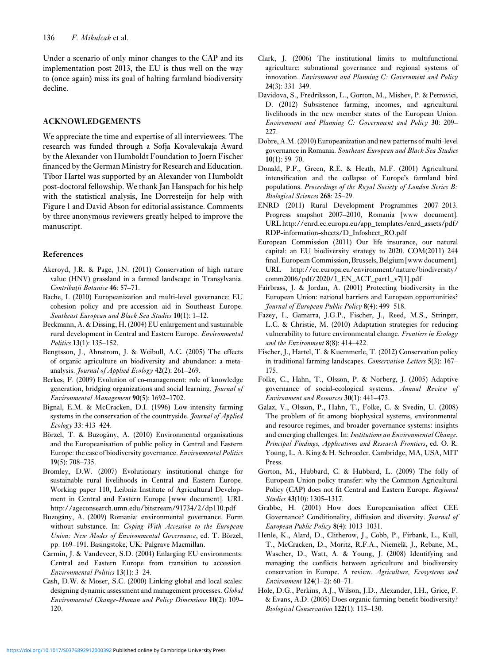Under a scenario of only minor changes to the CAP and its implementation post 2013, the EU is thus well on the way to (once again) miss its goal of halting farmland biodiversity decline.

# **ACKNOWLEDGEMENTS**

We appreciate the time and expertise of all interviewees. The research was funded through a Sofja Kovalevakaja Award by the Alexander von Humboldt Foundation to Joern Fischer financed by the German Ministry for Research and Education. Tibor Hartel was supported by an Alexander von Humboldt post-doctoral fellowship. We thank Jan Hanspach for his help with the statistical analysis, Ine Dorresteijn for help with Figure 1 and David Abson for editorial assistance. Comments by three anonymous reviewers greatly helped to improve the manuscript.

## **References**

- Akeroyd, J.R. & Page, J.N. (2011) Conservation of high nature value (HNV) grassland in a farmed landscape in Transylvania. *Contributii Botanice* 46: 57-71.
- Bache, I. (2010) Europeanization and multi-level governance: EU cohesion policy and pre-accession aid in Southeast Europe. *Southeast European and Black Sea Studies* **10**(1): 1–12.
- Beckmann, A. & Dissing, H. (2004) EU enlargement and sustainable rural development in Central and Eastern Europe. *Environmental Politics* **13**(1): 135–152.
- Bengtsson, J., Ahnstrom, J. & Weibull, A.C. (2005) The effects of organic agriculture on biodiversity and abundance: a metaanalysis. *Journal of Applied Ecology* **42**(2): 261–269.
- Berkes, F. (2009) Evolution of co-management: role of knowledge generation, bridging organizations and social learning. *Journal of Environmental Management* **90**(5): 1692–1702.
- Bignal, E.M. & McCracken, D.I. (1996) Low-intensity farming systems in the conservation of the countryside. *Journal of Applied Ecology* **33**: 413–424.
- Börzel, T. & Buzogány, A. (2010) Environmental organisations and the Europeanisation of public policy in Central and Eastern Europe: the case of biodiversity governance. *Environmental Politics* **19**(5): 708–735.
- Bromley, D.W. (2007) Evolutionary institutional change for sustainable rural livelihoods in Central and Eastern Europe. Working paper 110, Leibniz Institute of Agricultural Development in Central and Eastern Europe [www document]. URL http://ageconsearch.umn.edu/bitstream/91734/2/dp110.pdf
- Buzogány, A. (2009) Romania: environmental governance. Form without substance. In: *Coping With Accession to the European Union: New Modes of Environmental Governance*, ed. T. Börzel, pp. 169–191. Basingstoke, UK: Palgrave Macmillan.
- Carmin, J. & Vandeveer, S.D. (2004) Enlarging EU environments: Central and Eastern Europe from transition to accession. *Environmental Politics* **13**(1): 3–24.
- Cash, D.W. & Moser, S.C. (2000) Linking global and local scales: designing dynamic assessment and management processes. *Global Environmental Change-Human and Policy Dimensions* **10**(2): 109– 120.
- Clark, J. (2006) The institutional limits to multifunctional agriculture: subnational governance and regional systems of innovation. *Environment and Planning C: Government and Policy* **24**(3): 331–349.
- Davidova, S., Fredriksson, L., Gorton, M., Mishev, P. & Petrovici, D. (2012) Subsistence farming, incomes, and agricultural livelihoods in the new member states of the European Union. *Environment and Planning C: Government and Policy* **30**: 209– 227.
- Dobre, A.M. (2010) Europeanization and new patterns of multi-level governance in Romania. *Southeast European and Black Sea Studies* **10**(1): 59–70.
- Donald, P.F., Green, R.E. & Heath, M.F. (2001) Agricultural intensification and the collapse of Europe's farmland bird populations. *Proceedings of the Royal Society of London Series B: Biological Sciences* **268**: 25–29.
- ENRD (2011) Rural Development Programmes 2007–2013. Progress snapshot 2007–2010, Romania [www document]. URL http://enrd.ec.europa.eu/app\_templates/enrd\_assets/pdf/ RDP-information-sheets/D\_Infosheet\_RO.pdf
- European Commission (2011) Our life insurance, our natural capital: an EU biodiversity strategy to 2020. COM(2011) 244 final. European Commission, Brussels, Belgium [www document]. URL http://ec.europa.eu/environment/nature/biodiversity/ comm2006/pdf/2020/1\_EN\_ACT\_part1\_v7[1].pdf
- Fairbrass, J. & Jordan, A. (2001) Protecting biodiversity in the European Union: national barriers and European opportunities? *Journal of European Public Policy* **8**(4): 499–518.
- Fazey, I., Gamarra, J.G.P., Fischer, J., Reed, M.S., Stringer, L.C. & Christie, M. (2010) Adaptation strategies for reducing vulnerability to future environmental change. *Frontiers in Ecology and the Environment* **8**(8): 414–422.
- Fischer, J., Hartel, T. & Kuemmerle, T. (2012) Conservation policy in traditional farming landscapes. *Conservation Letters* **5**(3): 167– 175.
- Folke, C., Hahn, T., Olsson, P. & Norberg, J. (2005) Adaptive governance of social-ecological systems. *Annual Review of Environment and Resources* **30**(1): 441–473.
- Galaz, V., Olsson, P., Hahn, T., Folke, C. & Svedin, U. (2008) The problem of fit among biophysical systems, environmental and resource regimes, and broader governance systems: insights and emerging challenges. In: *Institutions an Environmental Change. Principal Findings, Applications and Research Frontiers*, ed. O. R. Young, L. A. King & H. Schroeder. Cambridge, MA, USA, MIT Press.
- Gorton, M., Hubbard, C. & Hubbard, L. (2009) The folly of European Union policy transfer: why the Common Agricultural Policy (CAP) does not fit Central and Eastern Europe. *Regional Studies* **43**(10): 1305–1317.
- Grabbe, H. (2001) How does Europeanisation affect CEE Governance? Conditionality, diffusion and diversity. *Journal of European Public Policy* **8**(4): 1013–1031.
- Henle, K., Alard, D., Clitherow, J., Cobb, P., Firbank, L., Kull, T., McCracken, D., Moritz, R.F.A., Niemelä, J., Rebane, M., Wascher, D., Watt, A. & Young, J. (2008) Identifying and managing the conflicts between agriculture and biodiversity conservation in Europe. A review. *Agriculture, Ecosystems and Environment* **124**(1–2): 60–71.
- Hole, D.G., Perkins, A.J., Wilson, J.D., Alexander, I.H., Grice, F. & Evans, A.D. (2005) Does organic farming benefit biodiversity? *Biological Conservation* **122**(1): 113–130.